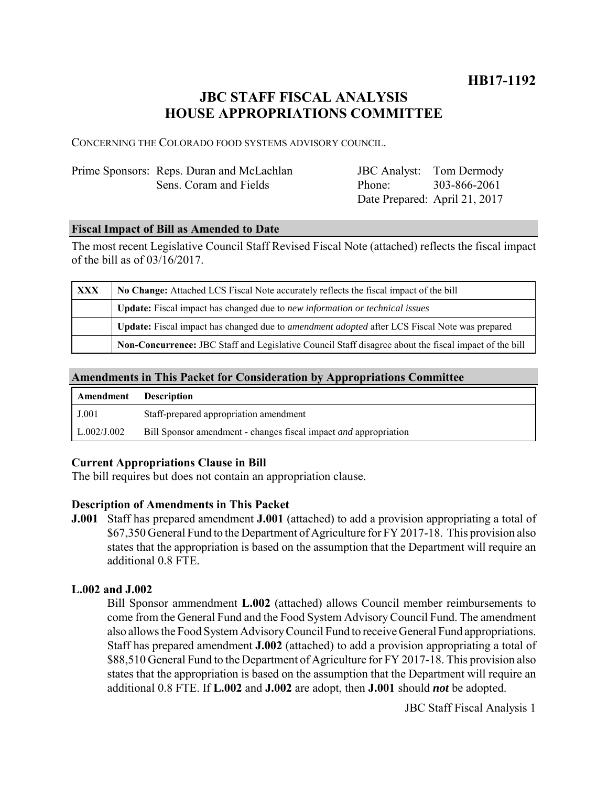## **HB17-1192**

## **JBC STAFF FISCAL ANALYSIS HOUSE APPROPRIATIONS COMMITTEE**

CONCERNING THE COLORADO FOOD SYSTEMS ADVISORY COUNCIL.

| Prime Sponsors: Reps. Duran and McLachlan | <b>JBC</b> Analyst: Tom Dermody |  |
|-------------------------------------------|---------------------------------|--|
| Sens. Coram and Fields                    | Phone: 303-866-2061             |  |
|                                           | Date Prepared: April 21, 2017   |  |

#### **Fiscal Impact of Bill as Amended to Date**

The most recent Legislative Council Staff Revised Fiscal Note (attached) reflects the fiscal impact of the bill as of 03/16/2017.

| <b>XXX</b> | No Change: Attached LCS Fiscal Note accurately reflects the fiscal impact of the bill                       |  |
|------------|-------------------------------------------------------------------------------------------------------------|--|
|            | <b>Update:</b> Fiscal impact has changed due to new information or technical issues                         |  |
|            | <b>Update:</b> Fiscal impact has changed due to <i>amendment adopted</i> after LCS Fiscal Note was prepared |  |
|            | Non-Concurrence: JBC Staff and Legislative Council Staff disagree about the fiscal impact of the bill       |  |

#### **Amendments in This Packet for Consideration by Appropriations Committee**

| Amendment   | <b>Description</b>                                                      |
|-------------|-------------------------------------------------------------------------|
| J.001       | Staff-prepared appropriation amendment                                  |
| L.002/J.002 | Bill Sponsor amendment - changes fiscal impact <i>and</i> appropriation |

#### **Current Appropriations Clause in Bill**

The bill requires but does not contain an appropriation clause.

#### **Description of Amendments in This Packet**

**J.001** Staff has prepared amendment **J.001** (attached) to add a provision appropriating a total of \$67,350 General Fund to the Department of Agriculture for FY 2017-18. This provision also states that the appropriation is based on the assumption that the Department will require an additional 0.8 FTE.

#### **L.002 and J.002**

Bill Sponsor ammendment **L.002** (attached) allows Council member reimbursements to come from the General Fund and the Food System Advisory Council Fund. The amendment also allows the Food System Advisory Council Fund to receive General Fund appropriations. Staff has prepared amendment **J.002** (attached) to add a provision appropriating a total of \$88,510 General Fund to the Department of Agriculture for FY 2017-18. This provision also states that the appropriation is based on the assumption that the Department will require an additional 0.8 FTE. If **L.002** and **J.002** are adopt, then **J.001** should *not* be adopted.

JBC Staff Fiscal Analysis 1